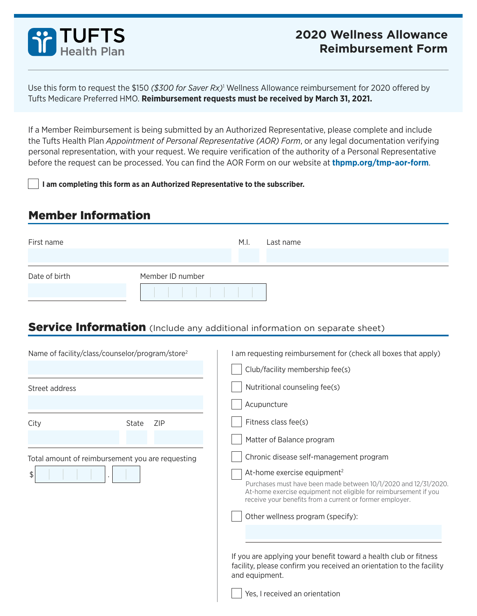

## **2020 Wellness Allowance Reimbursement Form**

Use this form to request the \$150 *(\$300 for Saver Rx)*[1](#page-1-0) Wellness Allowance reimbursement for 2020 offered by Tufts Medicare Preferred HMO. **Reimbursement requests must be received by March 31, 2021.**

If a Member Reimbursement is being submitted by an Authorized Representative, please complete and include the Tufts Health Plan *Appointment of Personal Representative (AOR) Form*, or any legal documentation verifying personal representation, with your request. We require verification of the authority of a Personal Representative before the request can be processed. You can find the AOR Form on our website at **thpmp.org/tmp-aor-form**.

**I am completing this form as an Authorized Representative to the subscriber.**

### Member Information

| First name    |                  | M.I. | Last name |
|---------------|------------------|------|-----------|
| Date of birth | Member ID number |      |           |

### **Service Information** (Include any additional information on separate sheet)

| Name of facility/class/counselor/program/store <sup>2</sup> |                     |  | am requesting reimbursement for (check all boxes that apply)<br>Club/facility membership fee(s)                                                                                                                                                                                                                                                                                                                                                                                          |  |
|-------------------------------------------------------------|---------------------|--|------------------------------------------------------------------------------------------------------------------------------------------------------------------------------------------------------------------------------------------------------------------------------------------------------------------------------------------------------------------------------------------------------------------------------------------------------------------------------------------|--|
| Street address                                              |                     |  | Nutritional counseling fee(s)                                                                                                                                                                                                                                                                                                                                                                                                                                                            |  |
| City                                                        | <b>ZIP</b><br>State |  | Acupuncture<br>Fitness class fee(s)<br>Matter of Balance program                                                                                                                                                                                                                                                                                                                                                                                                                         |  |
| Total amount of reimbursement you are requesting<br>\$      |                     |  | Chronic disease self-management program<br>At-home exercise equipment <sup>2</sup><br>Purchases must have been made between 10/1/2020 and 12/31/2020.<br>At-home exercise equipment not eligible for reimbursement if you<br>receive your benefits from a current or former employer.<br>Other wellness program (specify):<br>If you are applying your benefit toward a health club or fitness<br>facility, please confirm you received an orientation to the facility<br>and equipment. |  |
|                                                             |                     |  | Yes, I received an orientation                                                                                                                                                                                                                                                                                                                                                                                                                                                           |  |